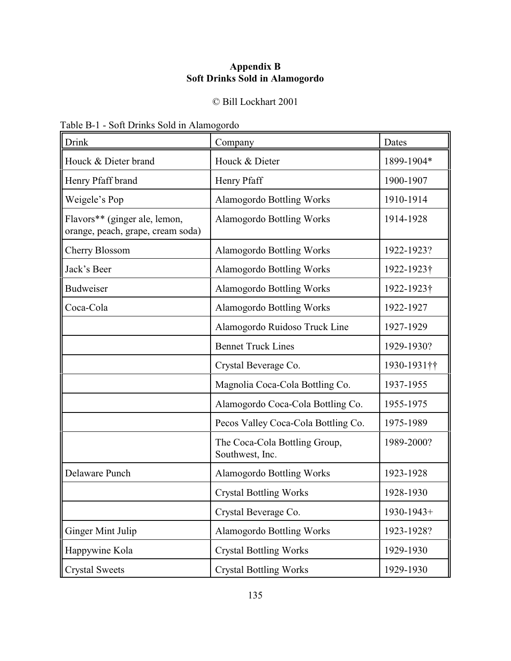## **Appendix B Soft Drinks Sold in Alamogordo**

## © Bill Lockhart 2001

|  |  |  | Table B-1 - Soft Drinks Sold in Alamogordo |
|--|--|--|--------------------------------------------|
|--|--|--|--------------------------------------------|

| Drink                                                              | Company                                          | Dates       |
|--------------------------------------------------------------------|--------------------------------------------------|-------------|
| Houck & Dieter brand                                               | Houck & Dieter                                   | 1899-1904*  |
| Henry Pfaff brand                                                  | Henry Pfaff                                      | 1900-1907   |
| Weigele's Pop                                                      | <b>Alamogordo Bottling Works</b>                 | 1910-1914   |
| Flavors** (ginger ale, lemon,<br>orange, peach, grape, cream soda) | <b>Alamogordo Bottling Works</b>                 | 1914-1928   |
| <b>Cherry Blossom</b>                                              | <b>Alamogordo Bottling Works</b>                 | 1922-1923?  |
| Jack's Beer                                                        | <b>Alamogordo Bottling Works</b>                 | 1922-1923†  |
| <b>Budweiser</b>                                                   | <b>Alamogordo Bottling Works</b>                 | 1922-1923†  |
| Coca-Cola                                                          | <b>Alamogordo Bottling Works</b>                 | 1922-1927   |
|                                                                    | Alamogordo Ruidoso Truck Line                    | 1927-1929   |
|                                                                    | <b>Bennet Truck Lines</b>                        | 1929-1930?  |
|                                                                    | Crystal Beverage Co.                             | 1930-1931†† |
|                                                                    | Magnolia Coca-Cola Bottling Co.                  | 1937-1955   |
|                                                                    | Alamogordo Coca-Cola Bottling Co.                | 1955-1975   |
|                                                                    | Pecos Valley Coca-Cola Bottling Co.              | 1975-1989   |
|                                                                    | The Coca-Cola Bottling Group,<br>Southwest, Inc. | 1989-2000?  |
| Delaware Punch                                                     | <b>Alamogordo Bottling Works</b>                 | 1923-1928   |
|                                                                    | <b>Crystal Bottling Works</b>                    | 1928-1930   |
|                                                                    | Crystal Beverage Co.                             | 1930-1943+  |
| Ginger Mint Julip                                                  | <b>Alamogordo Bottling Works</b>                 | 1923-1928?  |
| Happywine Kola                                                     | <b>Crystal Bottling Works</b>                    | 1929-1930   |
| <b>Crystal Sweets</b>                                              | <b>Crystal Bottling Works</b>                    | 1929-1930   |